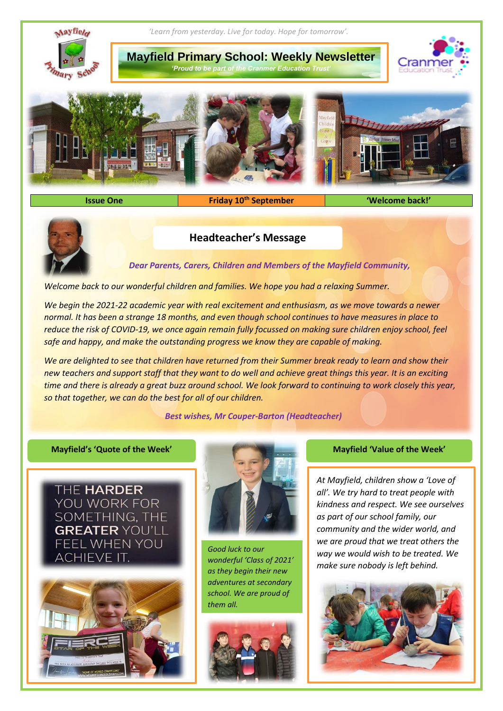

**Issue One Friday 10th September 'Welcome back!'**



# **Headteacher's Message**

*Dear Parents, Carers, Children and Members of the Mayfield Community,*

*Welcome back to our wonderful children and families. We hope you had a relaxing Summer.* 

*We begin the 2021-22 academic year with real excitement and enthusiasm, as we move towards a newer normal. It has been a strange 18 months, and even though school continues to have measures in place to reduce the risk of COVID-19, we once again remain fully focussed on making sure children enjoy school, feel safe and happy, and make the outstanding progress we know they are capable of making.*

*We are delighted to see that children have returned from their Summer break ready to learn and show their new teachers and support staff that they want to do well and achieve great things this year. It is an exciting time and there is already a great buzz around school. We look forward to continuing to work closely this year, so that together, we can do the best for all of our children.* 

*Best wishes, Mr Couper-Barton (Headteacher)*

THE HARDER YOU WORK FOR SOMETHING, THE **GREATER YOU'LL** FEEL WHEN YOU ACHIEVE IT.





*Good luck to our wonderful 'Class of 2021' as they begin their new adventures at secondary school. We are proud of them all.*



## **Mayfield's 'Quote of the Week' Mayfield 'Value of the Week'**

*At Mayfield, children show a 'Love of all'. We try hard to treat people with kindness and respect. We see ourselves as part of our school family, our community and the wider world, and we are proud that we treat others the way we would wish to be treated. We make sure nobody is left behind.*